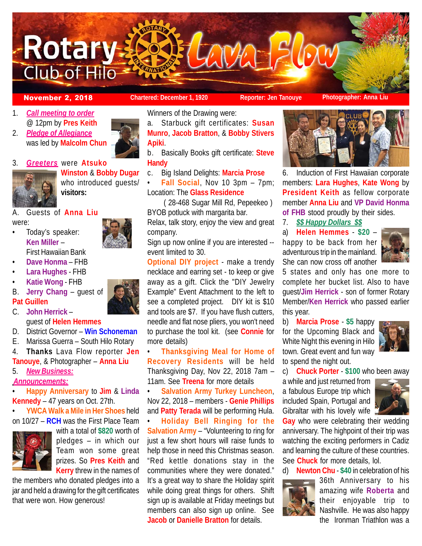

### **November 2, 2018 Chartered: December 1, 1920 Reporter: Jen Tanouye Photographer: Anna Liu**

- 1. *Call meeting to order* @ 12pm by **Pres Keith**
- 2. *Pledge of Allegiance* was led by **Malcolm Chun**



3. *Greeters* were **Atsuko**



**Winston** & **Bobby Dugar** who introduced guests/ **visitors:**

## A. Guests of **Anna Liu**

were:

- Today's speaker: **Ken Miller** – First Hawaiian Bank
- **Dave Honma** FHB
- **Lara Hughes** FHB
- **Katie Wong**  FHB
- B. **Jerry Chang** guest of **Pat Guillen**
- C. **John Herrick** guest of **Helen Hemmes**
- D. District Governor **Win Schoneman**
- E. Marissa Guerra South Hilo Rotary
- 4. **Thanks** Lava Flow reporter **Jen**
- **Tanouye**, & Photographer **Anna Liu**

# 5. *New Business:*

*Announcements:*

• **Happy Anniversary** to **Jim** & **Linda Kennedy** – 47 years on Oct. 27th.





with a total of **\$820** worth of pledges – in which our Team won some great prizes. So **Pres Keith** and **Kerry** threw in the names of

the members who donated pledges into a jar and held a drawing for the gift certificates that were won. How generous!

Winners of the Drawing were:

a. Starbuck gift certificates: **Susan Munro**, **Jacob Bratton**, & **Bobby Stivers Apiki**.

b. Basically Books gift certificate: **Steve Handy**

c. Big Island Delights: **Marcia Prose**

• **Fall Social**, Nov 10 3pm – 7pm; Location: The **Glass Residence**

 ( 28-468 Sugar Mill Rd, Pepeekeo ) BYOB potluck with margarita bar.

Relax, talk story, enjoy the view and great company.

Sign up now online if you are interested - event limited to 30.

**Optional DIY project** - make a trendy necklace and earring set - to keep or give away as a gift. Click the "DIY Jewelry Example" Event Attachment to the left to see a completed project. DIY kit is \$10 and tools are \$7. If you have flush cutters, needle and flat nose pliers, you won't need to purchase the tool kit. (see **Connie** for more details)

• **Thanksgiving Meal for Home of Recovery Residents** will be held Thanksgiving Day, Nov 22, 2018 7am – 11am. See **Treena** for more details

• **Salvation Army Turkey Luncheon**, Nov 22, 2018 – members - **Genie Phillips** and **Patty Terada** will be performing Hula.

• **Holiday Bell Ringing for the Salvation Army** – "Volunteering to ring for just a few short hours will raise funds to help those in need this Christmas season. "Red kettle donations stay in the communities where they were donated." It's a great way to share the Holiday spirit while doing great things for others. Shift sign up is available at Friday meetings but members can also sign up online. See **Jacob** or **Danielle Bratton** for details.



6. Induction of First Hawaiian corporate members: **Lara Hughes**, **Kate Wong** by **President Keith** as fellow corporate member **Anna Liu** and **VP David Honma of FHB** stood proudly by their sides.

7. *\$\$ Happy Dollars \$\$*

a) **Helen Hemmes** - **\$20** – happy to be back from her adventurous trip in the mainland. She can now cross off another



5 states and only has one more to complete her bucket list. Also to have guest/**Jim Herrick** - son of former Rotary Member/**Ken Herrick** who passed earlier this year.

b) **Marcia Prose** - **\$5** happy for the Upcoming Black and White Night this evening in Hilo town. Great event and fun way to spend the night out.



c) **Chuck Porter** - **\$100** who been away

a while and just returned from a fabulous Europe trip which included Spain, Portugal and Gibraltar with his lovely wife



**Gay** who were celebrating their wedding anniversary. The highpoint of their trip was watching the exciting performers in Cadiz and learning the culture of these countries. See **Chuck** for more details, lol.

d) **Newton Chu** - **\$40** in celebration of his



36th Anniversary to his amazing wife **Roberta** and their enjoyable trip to Nashville. He was also happy the Ironman Triathlon was a